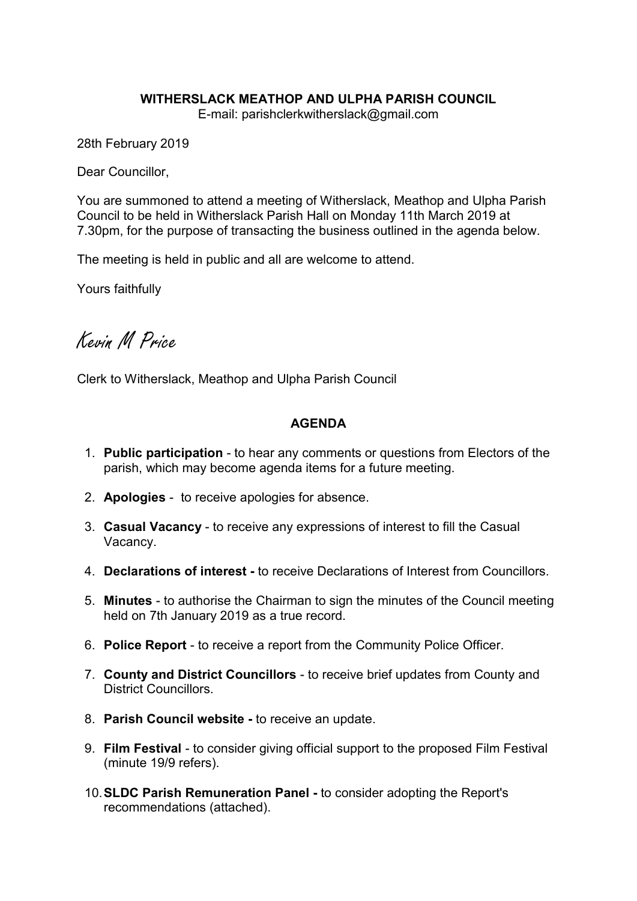### WITHERSLACK MEATHOP AND ULPHA PARISH COUNCIL

E-mail: parishclerkwitherslack@gmail.com

28th February 2019

Dear Councillor,

You are summoned to attend a meeting of Witherslack, Meathop and Ulpha Parish Council to be held in Witherslack Parish Hall on Monday 11th March 2019 at 7.30pm, for the purpose of transacting the business outlined in the agenda below.

The meeting is held in public and all are welcome to attend.

Yours faithfully

Kevin M Price

Clerk to Witherslack, Meathop and Ulpha Parish Council

#### AGENDA

- 1. Public participation to hear any comments or questions from Electors of the parish, which may become agenda items for a future meeting.
- 2. Apologies to receive apologies for absence.
- 3. Casual Vacancy to receive any expressions of interest to fill the Casual Vacancy.
- 4. Declarations of interest to receive Declarations of Interest from Councillors.
- 5. Minutes to authorise the Chairman to sign the minutes of the Council meeting held on 7th January 2019 as a true record.
- 6. Police Report to receive a report from the Community Police Officer.
- 7. County and District Councillors to receive brief updates from County and District Councillors.
- 8. Parish Council website to receive an update.
- 9. Film Festival to consider giving official support to the proposed Film Festival (minute 19/9 refers).
- 10.SLDC Parish Remuneration Panel to consider adopting the Report's recommendations (attached).